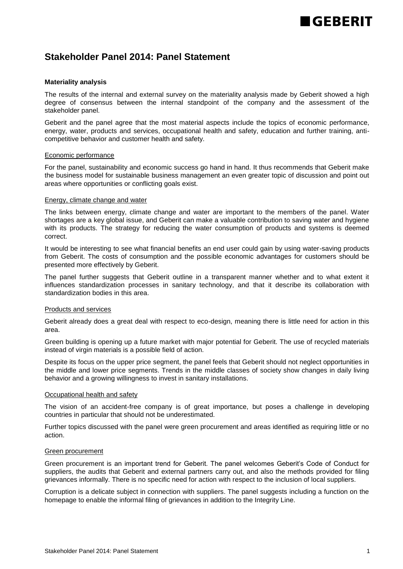# **GERERIT**

### **Stakeholder Panel 2014: Panel Statement**

#### **Materiality analysis**

The results of the internal and external survey on the materiality analysis made by Geberit showed a high degree of consensus between the internal standpoint of the company and the assessment of the stakeholder panel.

Geberit and the panel agree that the most material aspects include the topics of economic performance, energy, water, products and services, occupational health and safety, education and further training, anticompetitive behavior and customer health and safety.

#### Economic performance

For the panel, sustainability and economic success go hand in hand. It thus recommends that Geberit make the business model for sustainable business management an even greater topic of discussion and point out areas where opportunities or conflicting goals exist.

#### Energy, climate change and water

The links between energy, climate change and water are important to the members of the panel. Water shortages are a key global issue, and Geberit can make a valuable contribution to saving water and hygiene with its products. The strategy for reducing the water consumption of products and systems is deemed correct.

It would be interesting to see what financial benefits an end user could gain by using water-saving products from Geberit. The costs of consumption and the possible economic advantages for customers should be presented more effectively by Geberit.

The panel further suggests that Geberit outline in a transparent manner whether and to what extent it influences standardization processes in sanitary technology, and that it describe its collaboration with standardization bodies in this area.

#### Products and services

Geberit already does a great deal with respect to eco-design, meaning there is little need for action in this area.

Green building is opening up a future market with major potential for Geberit. The use of recycled materials instead of virgin materials is a possible field of action.

Despite its focus on the upper price segment, the panel feels that Geberit should not neglect opportunities in the middle and lower price segments. Trends in the middle classes of society show changes in daily living behavior and a growing willingness to invest in sanitary installations.

#### Occupational health and safety

The vision of an accident-free company is of great importance, but poses a challenge in developing countries in particular that should not be underestimated.

Further topics discussed with the panel were green procurement and areas identified as requiring little or no action.

#### Green procurement

Green procurement is an important trend for Geberit. The panel welcomes Geberit's Code of Conduct for suppliers, the audits that Geberit and external partners carry out, and also the methods provided for filing grievances informally. There is no specific need for action with respect to the inclusion of local suppliers.

Corruption is a delicate subject in connection with suppliers. The panel suggests including a function on the homepage to enable the informal filing of grievances in addition to the Integrity Line.